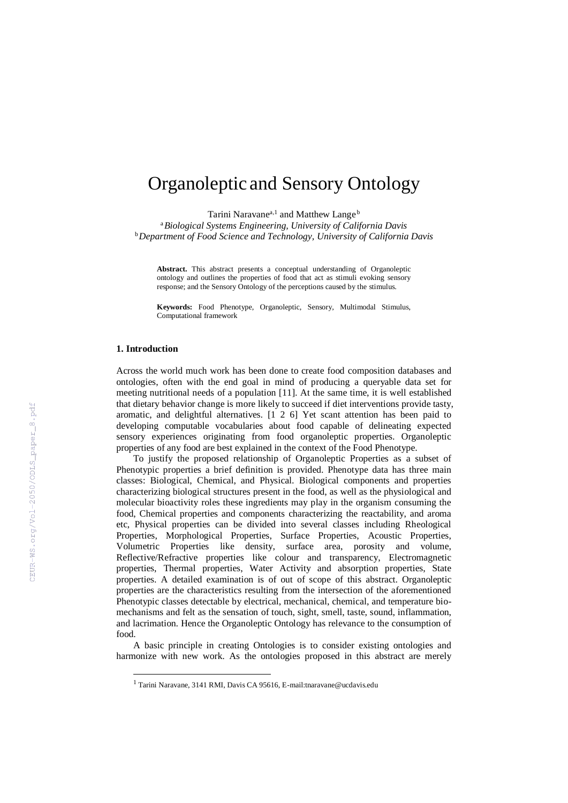# Organoleptic and Sensory Ontology

Tarini Naravane<sup>a,1</sup> and Matthew Lange<sup>b</sup>

<sup>a</sup>*Biological Systems Engineering, University of California Davis* <sup>b</sup>*Department of Food Science and Technology, University of California Davis*

**Abstract.** This abstract presents a conceptual understanding of Organoleptic ontology and outlines the properties of food that act as stimuli evoking sensory response; and the Sensory Ontology of the perceptions caused by the stimulus.

**Keywords:** Food Phenotype, Organoleptic, Sensory, Multimodal Stimulus, Computational framework

## **1. Introduction**

-

Across the world much work has been done to create food composition databases and ontologies, often with the end goal in mind of producing a queryable data set for meeting nutritional needs of a population [11]. At the same time, it is well established that dietary behavior change is more likely to succeed if diet interventions provide tasty, aromatic, and delightful alternatives. [1 [2 6\]](https://paperpile.com/c/jb93pA/L6Au) Yet scant attention has been paid to developing computable vocabularies about food capable of delineating expected sensory experiences originating from food organoleptic properties. Organoleptic properties of any food are best explained in the context of the Food Phenotype.

To justify the proposed relationship of Organoleptic Properties as a subset of Phenotypic properties a brief definition is provided. Phenotype data has three main classes: Biological, Chemical, and Physical. Biological components and properties characterizing biological structures present in the food, as well as the physiological and molecular bioactivity roles these ingredients may play in the organism consuming the food, Chemical properties and components characterizing the reactability, and aroma etc, Physical properties can be divided into several classes including Rheological Properties, Morphological Properties, Surface Properties, Acoustic Properties, Volumetric Properties like density, surface area, porosity and volume, Reflective/Refractive properties like colour and transparency, Electromagnetic properties, Thermal properties, Water Activity and absorption properties, State properties. A detailed examination is of out of scope of this abstract. Organoleptic properties are the characteristics resulting from the intersection of the aforementioned Phenotypic classes detectable by electrical, mechanical, chemical, and temperature biomechanisms and felt as the sensation of touch, sight, smell, taste, sound, inflammation, and lacrimation. Hence the Organoleptic Ontology has relevance to the consumption of food.

A basic principle in creating Ontologies is to consider existing ontologies and harmonize with new work. As the ontologies proposed in this abstract are merely

<sup>1</sup> Tarini Naravane, 3141 RMI, Davis CA 95616, E-mail:tnaravane@ucdavis.edu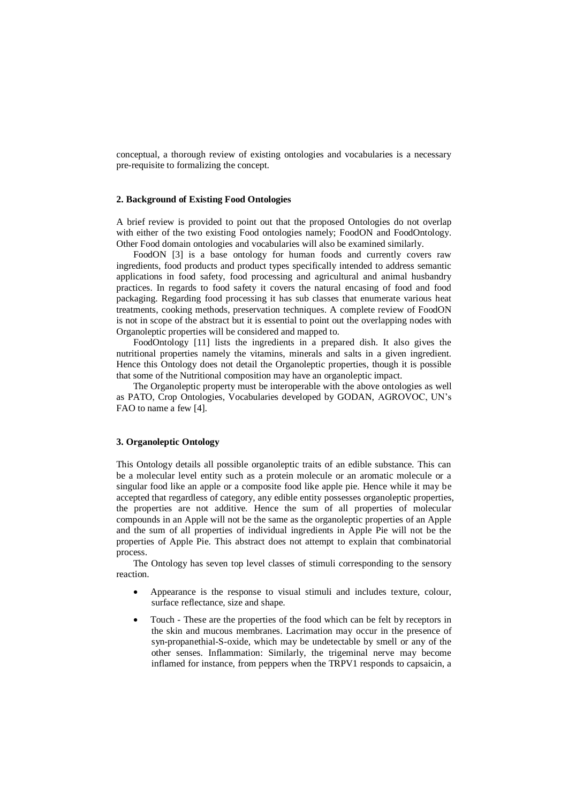conceptual, a thorough review of existing ontologies and vocabularies is a necessary pre-requisite to formalizing the concept.

## **2. Background of Existing Food Ontologies**

A brief review is provided to point out that the proposed Ontologies do not overlap with either of the two existing Food ontologies namely; FoodON and FoodOntology. Other Food domain ontologies and vocabularies will also be examined similarly.

FoodON [\[3\]](https://paperpile.com/c/jb93pA/adPC) is a base ontology for human foods and currently covers raw ingredients, food products and product types specifically intended to address semantic applications in food safety, food processing and agricultural and animal husbandry practices. In regards to food safety it covers the natural encasing of food and food packaging. Regarding food processing it has sub classes that enumerate various heat treatments, cooking methods, preservation techniques. A complete review of FoodON is not in scope of the abstract but it is essential to point out the overlapping nodes with Organoleptic properties will be considered and mapped to.

FoodOntology [11] lists the ingredients in a prepared dish. It also gives the nutritional properties namely the vitamins, minerals and salts in a given ingredient. Hence this Ontology does not detail the Organoleptic properties, though it is possible that some of the Nutritional composition may have an organoleptic impact.

The Organoleptic property must be interoperable with the above ontologies as well as PATO, Crop Ontologies, Vocabularies developed by GODAN, AGROVOC, UN's FAO to name a few [\[4\].](https://paperpile.com/c/jb93pA/F27Z)

# **3. Organoleptic Ontology**

This Ontology details all possible organoleptic traits of an edible substance. This can be a molecular level entity such as a protein molecule or an aromatic molecule or a singular food like an apple or a composite food like apple pie. Hence while it may be accepted that regardless of category, any edible entity possesses organoleptic properties, the properties are not additive. Hence the sum of all properties of molecular compounds in an Apple will not be the same as the organoleptic properties of an Apple and the sum of all properties of individual ingredients in Apple Pie will not be the properties of Apple Pie. This abstract does not attempt to explain that combinatorial process.

The Ontology has seven top level classes of stimuli corresponding to the sensory reaction.

- Appearance is the response to visual stimuli and includes texture, colour, surface reflectance, size and shape.
- Touch These are the properties of the food which can be felt by receptors in the skin and mucous membranes. Lacrimation may occur in the presence of syn-propanethial-S-oxide, which may be undetectable by smell or any of the other senses. Inflammation: Similarly, the trigeminal nerve may become inflamed for instance, from peppers when the TRPV1 responds to capsaicin, a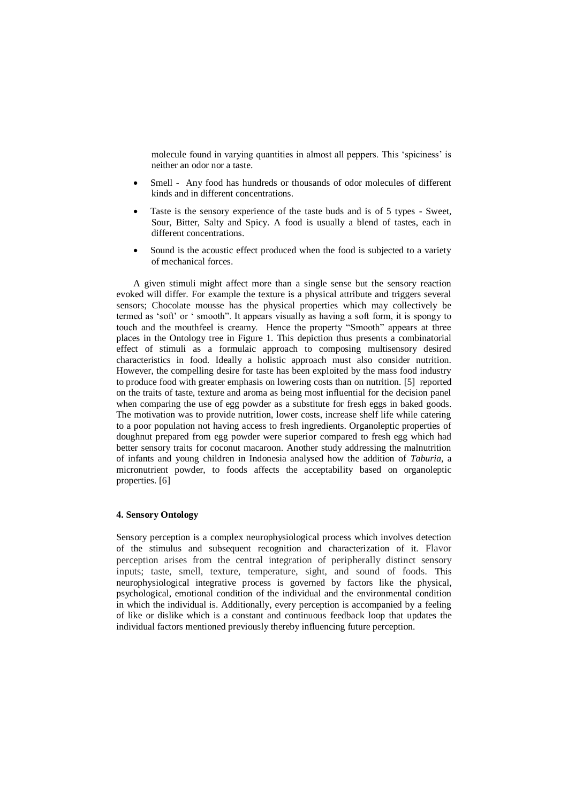molecule found in varying quantities in almost all peppers. This 'spiciness' is neither an odor nor a taste.

- Smell Any food has hundreds or thousands of odor molecules of different kinds and in different concentrations.
- Taste is the sensory experience of the taste buds and is of 5 types Sweet, Sour, Bitter, Salty and Spicy. A food is usually a blend of tastes, each in different concentrations.
- Sound is the acoustic effect produced when the food is subjected to a variety of mechanical forces.

A given stimuli might affect more than a single sense but the sensory reaction evoked will differ. For example the texture is a physical attribute and triggers several sensors; Chocolate mousse has the physical properties which may collectively be termed as 'soft' or ' smooth". It appears visually as having a soft form, it is spongy to touch and the mouthfeel is creamy. Hence the property "Smooth" appears at three places in the Ontology tree in Figure 1. This depiction thus presents a combinatorial effect of stimuli as a formulaic approach to composing multisensory desired characteristics in food. Ideally a holistic approach must also consider nutrition. However, the compelling desire for taste has been exploited by the mass food industry to produce food with greater emphasis on lowering costs than on nutrition. [\[5\]](https://paperpile.com/c/jb93pA/hqDK) reported on the traits of taste, texture and aroma as being most influential for the decision panel when comparing the use of egg powder as a substitute for fresh eggs in baked goods. The motivation was to provide nutrition, lower costs, increase shelf life while catering to a poor population not having access to fresh ingredients. Organoleptic properties of doughnut prepared from egg powder were superior compared to fresh egg which had better sensory traits for coconut macaroon. Another study addressing the malnutrition of infants and young children in Indonesia analysed how the addition of *Taburia,* a micronutrient powder, to foods affects the acceptability based on organoleptic properties. [\[6\]](https://paperpile.com/c/jb93pA/3Udm)

# **4. Sensory Ontology**

Sensory perception is a complex neurophysiological process which involves detection of the stimulus and subsequent recognition and characterization of it. Flavor perception arises from the central integration of peripherally distinct sensory inputs; taste, smell, texture, temperature, sight, and sound of foods. This neurophysiological integrative process is governed by factors like the physical, psychological, emotional condition of the individual and the environmental condition in which the individual is. Additionally, every perception is accompanied by a feeling of like or dislike which is a constant and continuous feedback loop that updates the individual factors mentioned previously thereby influencing future perception.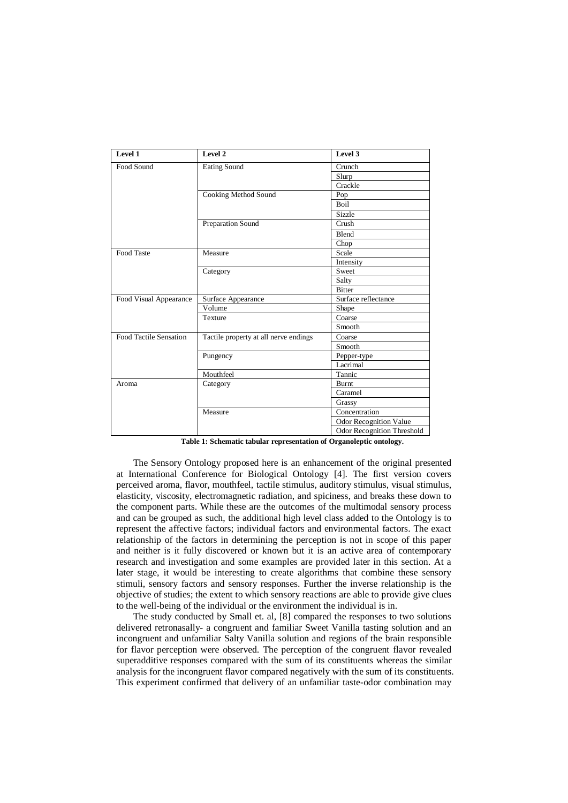| Level 1                | Level 2                               | Level 3                           |
|------------------------|---------------------------------------|-----------------------------------|
| Food Sound             | <b>Eating Sound</b>                   | Crunch                            |
|                        |                                       | Slurp                             |
|                        |                                       | Crackle                           |
|                        | Cooking Method Sound                  | Pop                               |
|                        |                                       | <b>Boil</b>                       |
|                        |                                       | Sizzle                            |
|                        | Preparation Sound                     | Crush                             |
|                        |                                       | Blend                             |
|                        |                                       | Chop                              |
| Food Taste             | Measure                               | Scale                             |
|                        |                                       | Intensity                         |
|                        | Category                              | Sweet                             |
|                        |                                       | Salty                             |
|                        |                                       | <b>Bitter</b>                     |
| Food Visual Appearance | Surface Appearance                    | Surface reflectance               |
|                        | Volume                                | Shape                             |
|                        | Texture                               | Coarse                            |
|                        |                                       | Smooth                            |
| Food Tactile Sensation | Tactile property at all nerve endings | Coarse                            |
|                        |                                       | Smooth                            |
|                        | Pungency                              | Pepper-type                       |
|                        |                                       | Lacrimal                          |
|                        | Mouthfeel                             | Tannic                            |
| Aroma                  | Category                              | Burnt                             |
|                        |                                       | Caramel                           |
|                        |                                       | Grassy                            |
|                        | Measure                               | Concentration                     |
|                        |                                       | Odor Recognition Value            |
|                        |                                       | <b>Odor Recognition Threshold</b> |

**Table 1: Schematic tabular representation of Organoleptic ontology**.

The Sensory Ontology proposed here is an enhancement of the original presented at International Conference for Biological Ontology [\[4\].](https://paperpile.com/c/jb93pA/CILt) The first version covers perceived aroma, flavor, mouthfeel, tactile stimulus, auditory stimulus, visual stimulus, elasticity, viscosity, electromagnetic radiation, and spiciness, and breaks these down to the component parts. While these are the outcomes of the multimodal sensory process and can be grouped as such, the additional high level class added to the Ontology is to represent the affective factors; individual factors and environmental factors. The exact relationship of the factors in determining the perception is not in scope of this paper and neither is it fully discovered or known but it is an active area of contemporary research and investigation and some examples are provided later in this section. At a later stage, it would be interesting to create algorithms that combine these sensory stimuli, sensory factors and sensory responses. Further the inverse relationship is the objective of studies; the extent to which sensory reactions are able to provide give clues to the well-being of the individual or the environment the individual is in.

The study conducted by Small et. al, [\[8\]](https://paperpile.com/c/jb93pA/Nr76) compared the responses to two solutions delivered retronasally- a congruent and familiar Sweet Vanilla tasting solution and an incongruent and unfamiliar Salty Vanilla solution and regions of the brain responsible for flavor perception were observed. The perception of the congruent flavor revealed superadditive responses compared with the sum of its constituents whereas the similar analysis for the incongruent flavor compared negatively with the sum of its constituents. This experiment confirmed that delivery of an unfamiliar taste-odor combination may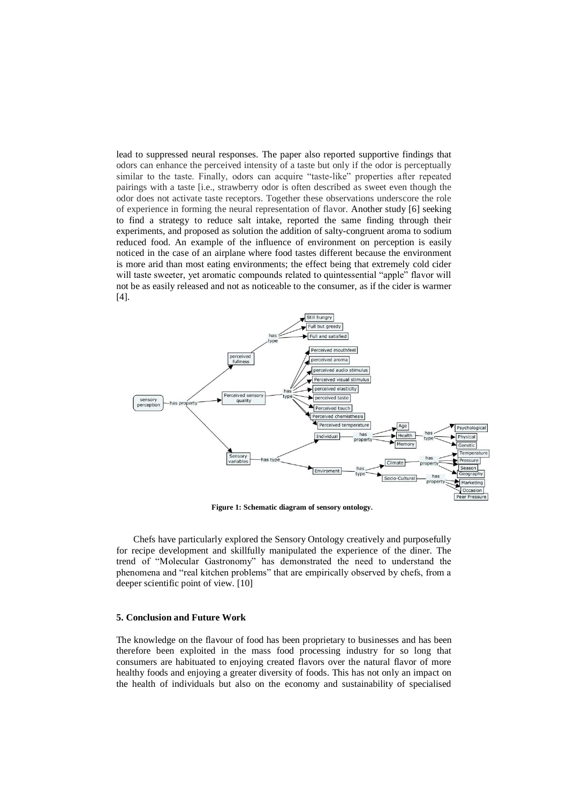lead to suppressed neural responses. The paper also reported supportive findings that odors can enhance the perceived intensity of a taste but only if the odor is perceptually similar to the taste. Finally, odors can acquire "taste-like" properties after repeated pairings with a taste [i.e., strawberry odor is often described as sweet even though the odor does not activate taste receptors. Together these observations underscore the role of experience in forming the neural representation of flavor. Another study [\[6\]](https://paperpile.com/c/jb93pA/3eTW) seeking to find a strategy to reduce salt intake, reported the same finding through their experiments, and proposed as solution the addition of salty-congruent aroma to sodium reduced food. An example of the influence of environment on perception is easily noticed in the case of an airplane where food tastes different because the environment is more arid than most eating environments; the effect being that extremely cold cider will taste sweeter, yet aromatic compounds related to quintessential "apple" flavor will not be as easily released and not as noticeable to the consumer, as if the cider is warmer [\[4\].](https://paperpile.com/c/jb93pA/CILt)



**Figure 1: Schematic diagram of sensory ontology**.

Chefs have particularly explored the Sensory Ontology creatively and purposefully for recipe development and skillfully manipulated the experience of the diner. The trend of "Molecular Gastronomy" has demonstrated the need to understand the phenomena and "real kitchen problems" that are empirically observed by chefs, from a deeper scientific point of view. [\[10\]](https://paperpile.com/c/jb93pA/R1Nk)

#### **5. Conclusion and Future Work**

The knowledge on the flavour of food has been proprietary to businesses and has been therefore been exploited in the mass food processing industry for so long that consumers are habituated to enjoying created flavors over the natural flavor of more healthy foods and enjoying a greater diversity of foods. This has not only an impact on the health of individuals but also on the economy and sustainability of specialised